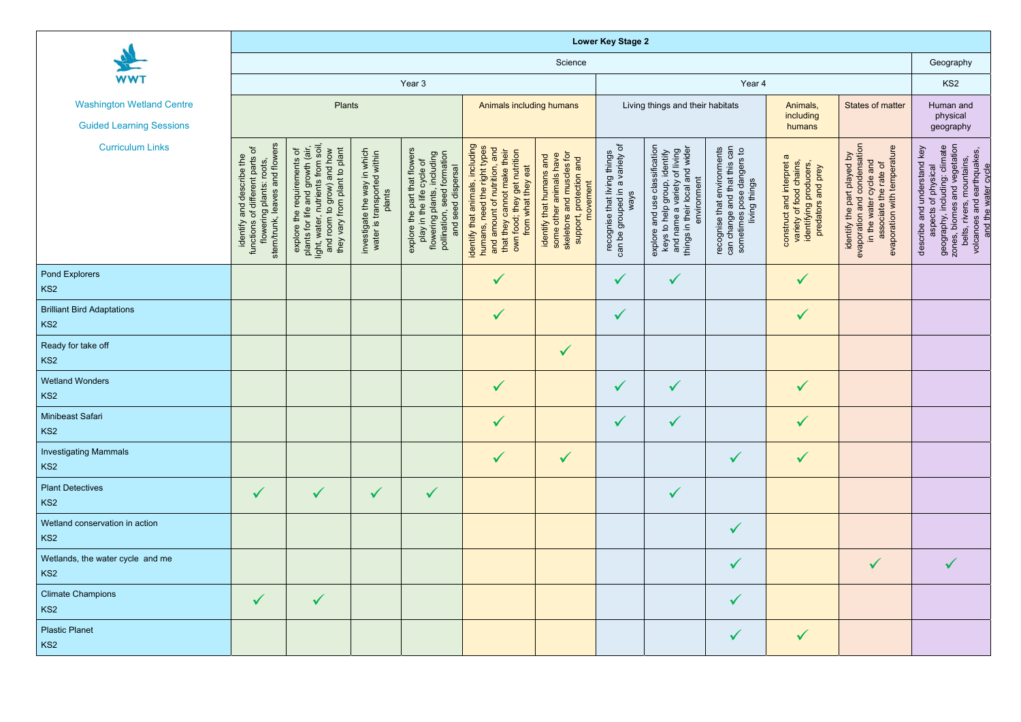|                                                                     | <b>Lower Key Stage 2</b>                                                                                                              |                                                                                                                                                                        |                                                                       |                                                                                                                                                   |                                                                                                                                                                                       |                                                                                                                            |                                                                        |                                                                                                                                                                            |                                                                                                           |                                                                                                      |                                                                                                                                                |                                                                                                                                                                                                       |
|---------------------------------------------------------------------|---------------------------------------------------------------------------------------------------------------------------------------|------------------------------------------------------------------------------------------------------------------------------------------------------------------------|-----------------------------------------------------------------------|---------------------------------------------------------------------------------------------------------------------------------------------------|---------------------------------------------------------------------------------------------------------------------------------------------------------------------------------------|----------------------------------------------------------------------------------------------------------------------------|------------------------------------------------------------------------|----------------------------------------------------------------------------------------------------------------------------------------------------------------------------|-----------------------------------------------------------------------------------------------------------|------------------------------------------------------------------------------------------------------|------------------------------------------------------------------------------------------------------------------------------------------------|-------------------------------------------------------------------------------------------------------------------------------------------------------------------------------------------------------|
|                                                                     | Science                                                                                                                               |                                                                                                                                                                        |                                                                       |                                                                                                                                                   |                                                                                                                                                                                       |                                                                                                                            |                                                                        |                                                                                                                                                                            |                                                                                                           |                                                                                                      |                                                                                                                                                | Geography                                                                                                                                                                                             |
| <b>WWT</b>                                                          | Year 3                                                                                                                                |                                                                                                                                                                        |                                                                       |                                                                                                                                                   |                                                                                                                                                                                       |                                                                                                                            | Year 4                                                                 |                                                                                                                                                                            |                                                                                                           |                                                                                                      |                                                                                                                                                | KS <sub>2</sub>                                                                                                                                                                                       |
| <b>Washington Wetland Centre</b><br><b>Guided Learning Sessions</b> | <b>Plants</b>                                                                                                                         |                                                                                                                                                                        |                                                                       |                                                                                                                                                   | Animals including humans                                                                                                                                                              |                                                                                                                            | Living things and their habitats                                       |                                                                                                                                                                            |                                                                                                           | Animals,<br>including<br>humans                                                                      | <b>States of matter</b>                                                                                                                        | Human and<br>physical<br>geography                                                                                                                                                                    |
| <b>Curriculum Links</b>                                             | stem/trunk, leaves and flowers<br>identify and describe the<br>nctions of different parts of<br>flowering plants: roots,<br>functions | light, water, nutrients from soil,<br>and room to grow) and how<br>they vary from plant to plant<br>plants for life and growth (air,<br>requirements of<br>explore the | investigate the way in which<br>water is transported within<br>plants | part that flowers<br>flowering plants, including<br>pollination, seed formation<br>play in the life cycle of<br>and seed dispersal<br>explore the | identify that animals, including<br>humans, need the right types<br>and amount of nutrition, and<br>that they cannot make their<br>own food; they get nutrition<br>from what they eat | skeletons and muscles for<br>identify that humans and<br>some other animals have<br>protection and<br>movement<br>support, | can be grouped in a variety of<br>recognise that living things<br>ways | and use classification<br>things in their local and wider<br>explore and use classification<br>keys to help group, identify<br>and name a variety of living<br>environment | recognise that environments<br>can change and that this can<br>sometimes pose dangers to<br>living things | construct and interpret a<br>variety of food chains,<br>identifying producers,<br>predators and prey | evaporation and condensation<br>in the water cycle and<br>associate the rate of<br>evaporation with temperature<br>identify the part played by | zones, biomes and vegetation<br>belts, rivers, mountains,<br>volcanoes and earthquakes,<br>and the water cycle<br>geography, including: climate<br>describe and understand key<br>aspects of physical |
| <b>Pond Explorers</b><br>KS <sub>2</sub>                            |                                                                                                                                       |                                                                                                                                                                        |                                                                       |                                                                                                                                                   | $\checkmark$                                                                                                                                                                          |                                                                                                                            | $\checkmark$                                                           | $\checkmark$                                                                                                                                                               |                                                                                                           | $\checkmark$                                                                                         |                                                                                                                                                |                                                                                                                                                                                                       |
| <b>Brilliant Bird Adaptations</b><br>KS <sub>2</sub>                |                                                                                                                                       |                                                                                                                                                                        |                                                                       |                                                                                                                                                   | $\checkmark$                                                                                                                                                                          |                                                                                                                            | $\checkmark$                                                           |                                                                                                                                                                            |                                                                                                           | $\checkmark$                                                                                         |                                                                                                                                                |                                                                                                                                                                                                       |
| Ready for take off<br>KS <sub>2</sub>                               |                                                                                                                                       |                                                                                                                                                                        |                                                                       |                                                                                                                                                   |                                                                                                                                                                                       | $\checkmark$                                                                                                               |                                                                        |                                                                                                                                                                            |                                                                                                           |                                                                                                      |                                                                                                                                                |                                                                                                                                                                                                       |
| <b>Wetland Wonders</b><br>KS <sub>2</sub>                           |                                                                                                                                       |                                                                                                                                                                        |                                                                       |                                                                                                                                                   | $\checkmark$                                                                                                                                                                          |                                                                                                                            | $\checkmark$                                                           | $\sqrt{}$                                                                                                                                                                  |                                                                                                           | $\checkmark$                                                                                         |                                                                                                                                                |                                                                                                                                                                                                       |
| Minibeast Safari<br>KS <sub>2</sub>                                 |                                                                                                                                       |                                                                                                                                                                        |                                                                       |                                                                                                                                                   |                                                                                                                                                                                       |                                                                                                                            |                                                                        |                                                                                                                                                                            |                                                                                                           |                                                                                                      |                                                                                                                                                |                                                                                                                                                                                                       |
| <b>Investigating Mammals</b><br>KS <sub>2</sub>                     |                                                                                                                                       |                                                                                                                                                                        |                                                                       |                                                                                                                                                   | $\sqrt{}$                                                                                                                                                                             | $\checkmark$                                                                                                               |                                                                        |                                                                                                                                                                            | $\checkmark$                                                                                              | $\checkmark$                                                                                         |                                                                                                                                                |                                                                                                                                                                                                       |
| <b>Plant Detectives</b><br>KS <sub>2</sub>                          | $\checkmark$                                                                                                                          | $\checkmark$                                                                                                                                                           | $\checkmark$                                                          | $\checkmark$                                                                                                                                      |                                                                                                                                                                                       |                                                                                                                            |                                                                        | $\checkmark$                                                                                                                                                               |                                                                                                           |                                                                                                      |                                                                                                                                                |                                                                                                                                                                                                       |
| Wetland conservation in action<br>KS <sub>2</sub>                   |                                                                                                                                       |                                                                                                                                                                        |                                                                       |                                                                                                                                                   |                                                                                                                                                                                       |                                                                                                                            |                                                                        |                                                                                                                                                                            | $\checkmark$                                                                                              |                                                                                                      |                                                                                                                                                |                                                                                                                                                                                                       |
| Wetlands, the water cycle and me<br>KS <sub>2</sub>                 |                                                                                                                                       |                                                                                                                                                                        |                                                                       |                                                                                                                                                   |                                                                                                                                                                                       |                                                                                                                            |                                                                        |                                                                                                                                                                            | $\checkmark$                                                                                              |                                                                                                      | $\checkmark$                                                                                                                                   |                                                                                                                                                                                                       |
| <b>Climate Champions</b><br>KS <sub>2</sub>                         | $\checkmark$                                                                                                                          | $\checkmark$                                                                                                                                                           |                                                                       |                                                                                                                                                   |                                                                                                                                                                                       |                                                                                                                            |                                                                        |                                                                                                                                                                            | $\checkmark$                                                                                              |                                                                                                      |                                                                                                                                                |                                                                                                                                                                                                       |
| <b>Plastic Planet</b><br>KS <sub>2</sub>                            |                                                                                                                                       |                                                                                                                                                                        |                                                                       |                                                                                                                                                   |                                                                                                                                                                                       |                                                                                                                            |                                                                        |                                                                                                                                                                            | $\checkmark$                                                                                              | $\checkmark$                                                                                         |                                                                                                                                                |                                                                                                                                                                                                       |